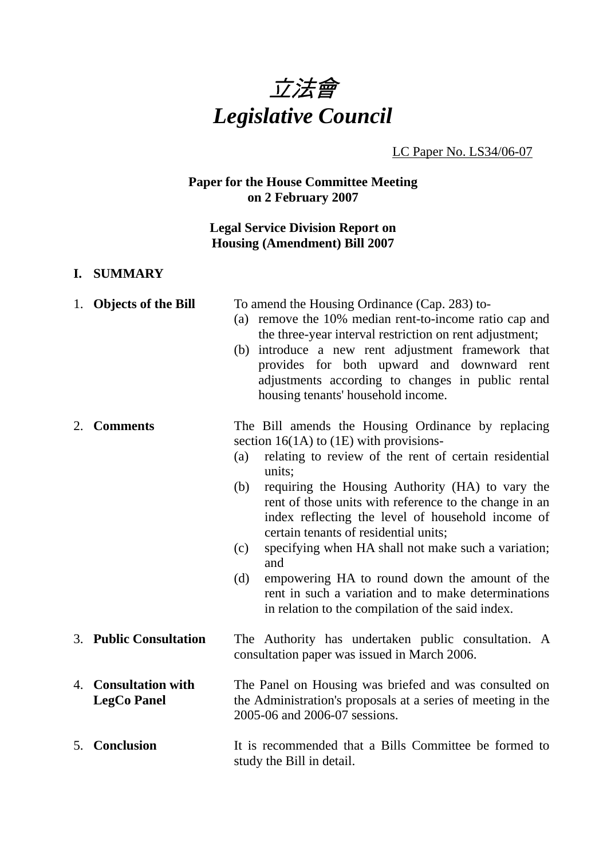

LC Paper No. LS34/06-07

## **Paper for the House Committee Meeting on 2 February 2007**

## **Legal Service Division Report on Housing (Amendment) Bill 2007**

#### **I. SUMMARY**

|    | 1. Objects of the Bill                         | To amend the Housing Ordinance (Cap. 283) to-<br>(a) remove the 10% median rent-to-income ratio cap and<br>the three-year interval restriction on rent adjustment;<br>(b) introduce a new rent adjustment framework that<br>provides for both upward and downward rent<br>adjustments according to changes in public rental<br>housing tenants' household income.                                                                                                                                                                                                                                                                       |
|----|------------------------------------------------|-----------------------------------------------------------------------------------------------------------------------------------------------------------------------------------------------------------------------------------------------------------------------------------------------------------------------------------------------------------------------------------------------------------------------------------------------------------------------------------------------------------------------------------------------------------------------------------------------------------------------------------------|
| 2. | <b>Comments</b>                                | The Bill amends the Housing Ordinance by replacing<br>section $16(1A)$ to $(1E)$ with provisions-<br>relating to review of the rent of certain residential<br>(a)<br>units;<br>requiring the Housing Authority (HA) to vary the<br>(b)<br>rent of those units with reference to the change in an<br>index reflecting the level of household income of<br>certain tenants of residential units;<br>specifying when HA shall not make such a variation;<br>(c)<br>and<br>(d)<br>empowering HA to round down the amount of the<br>rent in such a variation and to make determinations<br>in relation to the compilation of the said index. |
|    | 3. Public Consultation                         | The Authority has undertaken public consultation. A<br>consultation paper was issued in March 2006.                                                                                                                                                                                                                                                                                                                                                                                                                                                                                                                                     |
| 4. | <b>Consultation with</b><br><b>LegCo Panel</b> | The Panel on Housing was briefed and was consulted on<br>the Administration's proposals at a series of meeting in the<br>2005-06 and 2006-07 sessions.                                                                                                                                                                                                                                                                                                                                                                                                                                                                                  |
| 5. | <b>Conclusion</b>                              | It is recommended that a Bills Committee be formed to<br>study the Bill in detail.                                                                                                                                                                                                                                                                                                                                                                                                                                                                                                                                                      |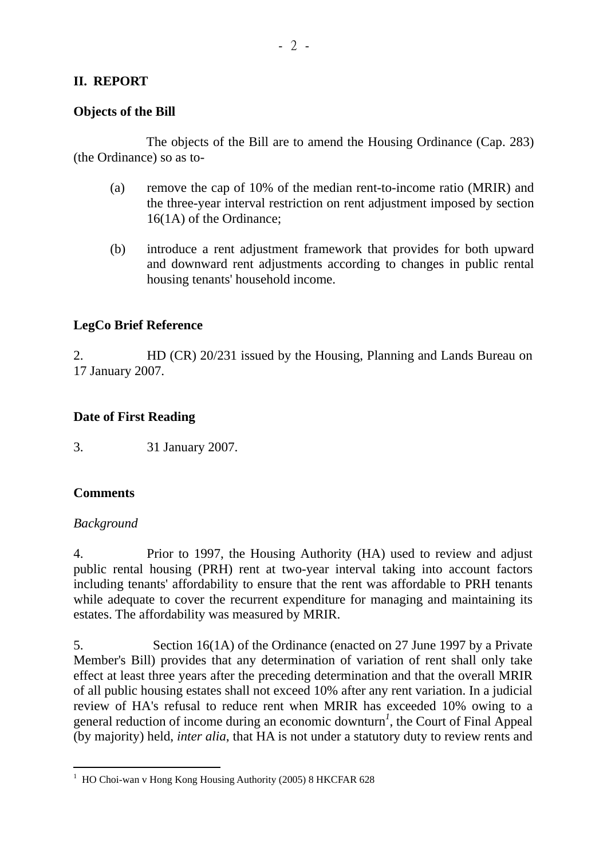## **II. REPORT**

#### **Objects of the Bill**

 The objects of the Bill are to amend the Housing Ordinance (Cap. 283) (the Ordinance) so as to-

- (a) remove the cap of 10% of the median rent-to-income ratio (MRIR) and the three-year interval restriction on rent adjustment imposed by section 16(1A) of the Ordinance;
- (b) introduce a rent adjustment framework that provides for both upward and downward rent adjustments according to changes in public rental housing tenants' household income.

### **LegCo Brief Reference**

2. HD (CR) 20/231 issued by the Housing, Planning and Lands Bureau on 17 January 2007.

### **Date of First Reading**

3. 31 January 2007.

### **Comments**

### *Background*

4. Prior to 1997, the Housing Authority (HA) used to review and adjust public rental housing (PRH) rent at two-year interval taking into account factors including tenants' affordability to ensure that the rent was affordable to PRH tenants while adequate to cover the recurrent expenditure for managing and maintaining its estates. The affordability was measured by MRIR.

5. Section 16(1A) of the Ordinance (enacted on 27 June 1997 by a Private Member's Bill) provides that any determination of variation of rent shall only take effect at least three years after the preceding determination and that the overall MRIR of all public housing estates shall not exceed 10% after any rent variation. In a judicial review of HA's refusal to reduce rent when MRIR has exceeded 10% owing to a general reduction of income during an economic downturn*<sup>1</sup>* , the Court of Final Appeal (by majority) held, *inter alia*, that HA is not under a statutory duty to review rents and

<sup>&</sup>lt;sup>1</sup> HO Choi-wan v Hong Kong Housing Authority (2005) 8 HKCFAR 628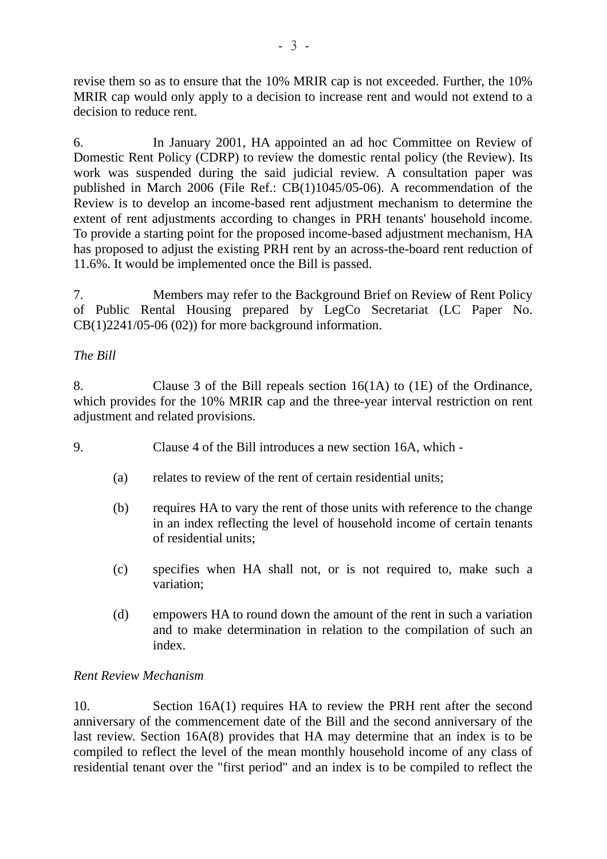revise them so as to ensure that the 10% MRIR cap is not exceeded. Further, the 10% MRIR cap would only apply to a decision to increase rent and would not extend to a decision to reduce rent.

6. In January 2001, HA appointed an ad hoc Committee on Review of Domestic Rent Policy (CDRP) to review the domestic rental policy (the Review). Its work was suspended during the said judicial review. A consultation paper was published in March 2006 (File Ref.: CB(1)1045/05-06). A recommendation of the Review is to develop an income-based rent adjustment mechanism to determine the extent of rent adjustments according to changes in PRH tenants' household income. To provide a starting point for the proposed income-based adjustment mechanism, HA has proposed to adjust the existing PRH rent by an across-the-board rent reduction of 11.6%. It would be implemented once the Bill is passed.

7. Members may refer to the Background Brief on Review of Rent Policy of Public Rental Housing prepared by LegCo Secretariat (LC Paper No.  $CB(1)2241/05-06(02))$  for more background information.

### *The Bill*

8. Clause 3 of the Bill repeals section 16(1A) to (1E) of the Ordinance, which provides for the 10% MRIR cap and the three-year interval restriction on rent adjustment and related provisions.

- 9. Clause 4 of the Bill introduces a new section 16A, which
	- (a) relates to review of the rent of certain residential units;
	- (b) requires HA to vary the rent of those units with reference to the change in an index reflecting the level of household income of certain tenants of residential units;
	- (c) specifies when HA shall not, or is not required to, make such a variation;
	- (d) empowers HA to round down the amount of the rent in such a variation and to make determination in relation to the compilation of such an index.

### *Rent Review Mechanism*

10. Section 16A(1) requires HA to review the PRH rent after the second anniversary of the commencement date of the Bill and the second anniversary of the last review. Section 16A(8) provides that HA may determine that an index is to be compiled to reflect the level of the mean monthly household income of any class of residential tenant over the "first period" and an index is to be compiled to reflect the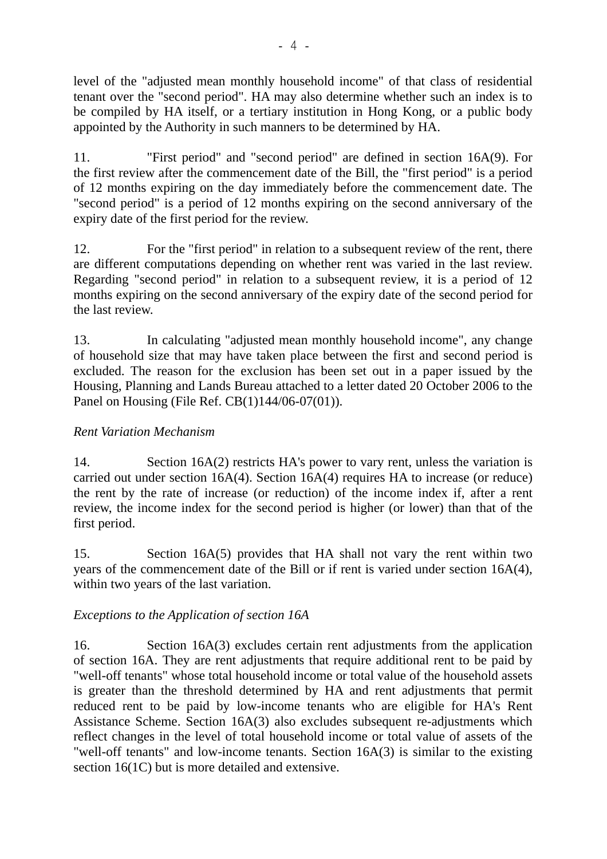level of the "adjusted mean monthly household income" of that class of residential tenant over the "second period". HA may also determine whether such an index is to be compiled by HA itself, or a tertiary institution in Hong Kong, or a public body appointed by the Authority in such manners to be determined by HA.

11. "First period" and "second period" are defined in section 16A(9). For the first review after the commencement date of the Bill, the "first period" is a period of 12 months expiring on the day immediately before the commencement date. The "second period" is a period of 12 months expiring on the second anniversary of the expiry date of the first period for the review.

12. For the "first period" in relation to a subsequent review of the rent, there are different computations depending on whether rent was varied in the last review. Regarding "second period" in relation to a subsequent review, it is a period of 12 months expiring on the second anniversary of the expiry date of the second period for the last review.

13. In calculating "adjusted mean monthly household income", any change of household size that may have taken place between the first and second period is excluded. The reason for the exclusion has been set out in a paper issued by the Housing, Planning and Lands Bureau attached to a letter dated 20 October 2006 to the Panel on Housing (File Ref. CB(1)144/06-07(01)).

# *Rent Variation Mechanism*

14. Section 16A(2) restricts HA's power to vary rent, unless the variation is carried out under section 16A(4). Section 16A(4) requires HA to increase (or reduce) the rent by the rate of increase (or reduction) of the income index if, after a rent review, the income index for the second period is higher (or lower) than that of the first period.

15. Section 16A(5) provides that HA shall not vary the rent within two years of the commencement date of the Bill or if rent is varied under section 16A(4), within two years of the last variation.

### *Exceptions to the Application of section 16A*

16. Section 16A(3) excludes certain rent adjustments from the application of section 16A. They are rent adjustments that require additional rent to be paid by "well-off tenants" whose total household income or total value of the household assets is greater than the threshold determined by HA and rent adjustments that permit reduced rent to be paid by low-income tenants who are eligible for HA's Rent Assistance Scheme. Section 16A(3) also excludes subsequent re-adjustments which reflect changes in the level of total household income or total value of assets of the "well-off tenants" and low-income tenants. Section 16A(3) is similar to the existing section 16(1C) but is more detailed and extensive.